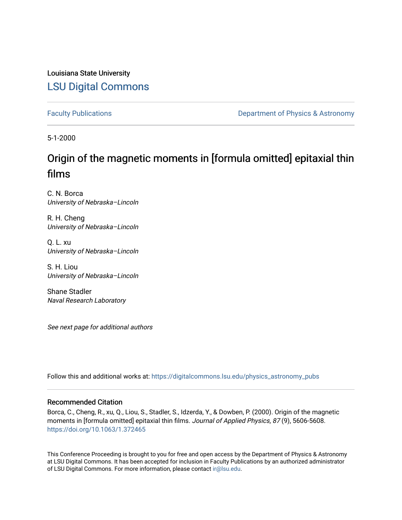Louisiana State University [LSU Digital Commons](https://digitalcommons.lsu.edu/)

[Faculty Publications](https://digitalcommons.lsu.edu/physics_astronomy_pubs) **Exercise 2 and Table 2 and Table 2 and Table 2 and Table 2 and Table 2 and Table 2 and Table 2 and Table 2 and Table 2 and Table 2 and Table 2 and Table 2 and Table 2 and Table 2 and Table 2 and Table** 

5-1-2000

## Origin of the magnetic moments in [formula omitted] epitaxial thin films

C. N. Borca University of Nebraska–Lincoln

R. H. Cheng University of Nebraska–Lincoln

Q. L. xu University of Nebraska–Lincoln

S. H. Liou University of Nebraska–Lincoln

Shane Stadler Naval Research Laboratory

See next page for additional authors

Follow this and additional works at: [https://digitalcommons.lsu.edu/physics\\_astronomy\\_pubs](https://digitalcommons.lsu.edu/physics_astronomy_pubs?utm_source=digitalcommons.lsu.edu%2Fphysics_astronomy_pubs%2F5348&utm_medium=PDF&utm_campaign=PDFCoverPages) 

### Recommended Citation

Borca, C., Cheng, R., xu, Q., Liou, S., Stadler, S., Idzerda, Y., & Dowben, P. (2000). Origin of the magnetic moments in [formula omitted] epitaxial thin films. Journal of Applied Physics, 87 (9), 5606-5608. <https://doi.org/10.1063/1.372465>

This Conference Proceeding is brought to you for free and open access by the Department of Physics & Astronomy at LSU Digital Commons. It has been accepted for inclusion in Faculty Publications by an authorized administrator of LSU Digital Commons. For more information, please contact [ir@lsu.edu](mailto:ir@lsu.edu).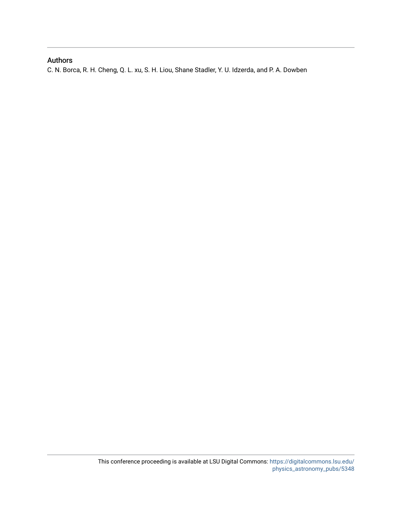### Authors

C. N. Borca, R. H. Cheng, Q. L. xu, S. H. Liou, Shane Stadler, Y. U. Idzerda, and P. A. Dowben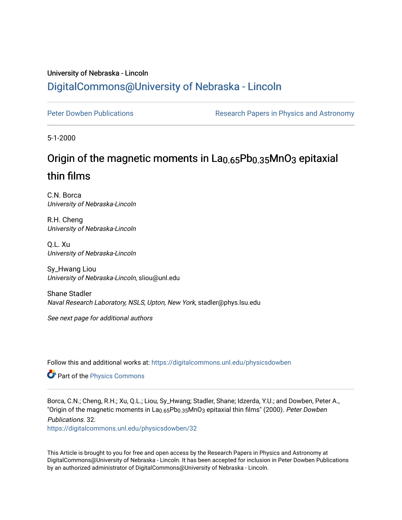### University of Nebraska - Lincoln [DigitalCommons@University of Nebraska - Lincoln](https://digitalcommons.unl.edu/)

[Peter Dowben Publications](https://digitalcommons.unl.edu/physicsdowben) **Research Papers in Physics and Astronomy** 

5-1-2000

# Origin of the magnetic moments in La<sub>0.65</sub>Pb<sub>0.35</sub>MnO<sub>3</sub> epitaxial thin films

C.N. Borca University of Nebraska-Lincoln

R.H. Cheng University of Nebraska-Lincoln

Q.L. Xu University of Nebraska-Lincoln

Sy\_Hwang Liou University of Nebraska-Lincoln, sliou@unl.edu

Shane Stadler Naval Research Laboratory, NSLS, Upton, New York, stadler@phys.lsu.edu

See next page for additional authors

Follow this and additional works at: [https://digitalcommons.unl.edu/physicsdowben](https://digitalcommons.unl.edu/physicsdowben?utm_source=digitalcommons.unl.edu%2Fphysicsdowben%2F32&utm_medium=PDF&utm_campaign=PDFCoverPages) 

Part of the [Physics Commons](http://network.bepress.com/hgg/discipline/193?utm_source=digitalcommons.unl.edu%2Fphysicsdowben%2F32&utm_medium=PDF&utm_campaign=PDFCoverPages)

Borca, C.N.; Cheng, R.H.; Xu, Q.L.; Liou, Sy\_Hwang; Stadler, Shane; Idzerda, Y.U.; and Dowben, Peter A., "Origin of the magnetic moments in La<sub>0.65</sub>Pb<sub>0.35</sub>MnO<sub>3</sub> epitaxial thin films" (2000). Peter Dowben Publications. 32.

[https://digitalcommons.unl.edu/physicsdowben/32](https://digitalcommons.unl.edu/physicsdowben/32?utm_source=digitalcommons.unl.edu%2Fphysicsdowben%2F32&utm_medium=PDF&utm_campaign=PDFCoverPages)

This Article is brought to you for free and open access by the Research Papers in Physics and Astronomy at DigitalCommons@University of Nebraska - Lincoln. It has been accepted for inclusion in Peter Dowben Publications by an authorized administrator of DigitalCommons@University of Nebraska - Lincoln.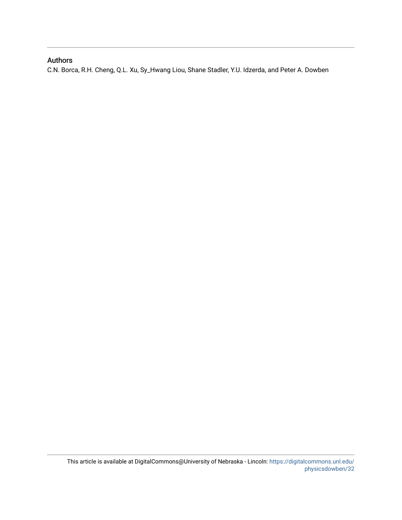### Authors

C.N. Borca, R.H. Cheng, Q.L. Xu, Sy\_Hwang Liou, Shane Stadler, Y.U. Idzerda, and Peter A. Dowben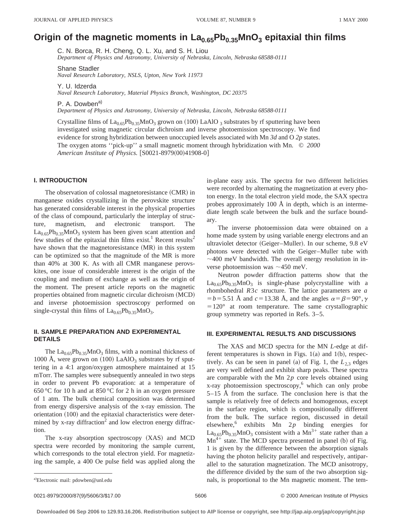### Origin of the magnetic moments in La<sub>0.65</sub>Pb<sub>0.35</sub>MnO<sub>3</sub> epitaxial thin films

C. N. Borca, R. H. Cheng, Q. L. Xu, and S. H. Liou

*Department of Physics and Astronomy, University of Nebraska, Lincoln, Nebraska 68588-0111*

Shane Stadler

*Naval Research Laboratory, NSLS, Upton, New York 11973*

Y. U. Idzerda

*Naval Research Laboratory, Material Physics Branch, Washington, DC 20375*

P. A. Dowben<sup>a)</sup>

*Department of Physics and Astronomy, University of Nebraska, Lincoln, Nebraska 68588-0111*

Crystalline films of  $La<sub>0.65</sub>Pb<sub>0.35</sub>MnO<sub>3</sub>$  grown on (100) LaAlO <sub>3</sub> substrates by rf sputtering have been investigated using magnetic circular dichroism and inverse photoemission spectroscopy. We find evidence for strong hybridization between unoccupied levels associated with Mn *3d* and O *2p* states. The oxygen atoms ''pick-up'' a small magnetic moment through hybridization with Mn. © *2000 American Institute of Physics.* [S0021-8979(00)41908-0]

#### **I. INTRODUCTION**

The observation of colossal magnetoresistance  $(CMR)$  in manganese oxides crystallizing in the perovskite structure has generated considerable interest in the physical properties of the class of compound, particularly the interplay of structure, magnetism, and electronic transport. The  $La<sub>0.65</sub>Pb<sub>0.35</sub>MnO<sub>3</sub>$  system has been given scant attention and few studies of the epitaxial thin films exist.<sup>1</sup> Recent results<sup>2</sup> have shown that the magnetoresistance  $(MR)$  in this system can be optimized so that the magnitude of the MR is more than 40% at 300 K. As with all CMR manganese perovskites, one issue of considerable interest is the origin of the coupling and medium of exchange as well as the origin of the moment. The present article reports on the magnetic properties obtained from magnetic circular dichroism (MCD) and inverse photoemission spectroscopy performed on single-crystal thin films of  $La_{0.65}Pb_{0.35}MnO_3$ .

### **II. SAMPLE PREPARATION AND EXPERIMENTAL DETAILS**

The  $La<sub>0.65</sub>Pb<sub>0.35</sub>MnO<sub>3</sub>$  films, with a nominal thickness of 1000 Å, were grown on  $(100)$  LaAlO<sub>3</sub> substrates by rf sputtering in a 4:1 argon/oxygen atmosphere maintained at 15 mTorr. The samples were subsequently annealed in two steps in order to prevent Pb evaporation: at a temperature of 650 °C for 10 h and at 850 °C for 2 h in an oxygen pressure of 1 atm. The bulk chemical composition was determined from energy dispersive analysis of the x-ray emission. The  $orientation (100)$  and the epitaxial characteristics were determined by x-ray diffraction<sup>2</sup> and low electron energy diffraction.

The x-ray absorption spectroscopy  $(XAS)$  and MCD spectra were recorded by monitoring the sample current, which corresponds to the total electron yield. For magnetizing the sample, a 400 Oe pulse field was applied along the in-plane easy axis. The spectra for two different helicities were recorded by alternating the magnetization at every photon energy. In the total electron yield mode, the SAX spectra probes approximately 100 Å in depth, which is an intermediate length scale between the bulk and the surface boundary.

The inverse photoemission data were obtained on a home made system by using variable energy electrons and an ultraviolet detector (Geiger–Muller). In our scheme, 9.8 eV photons were detected with the Geiger–Muller tube with  $\sim$ 400 meV bandwidth. The overall energy resolution in inverse photoemission was  $\sim$ 450 meV.

Neutron powder diffraction patterns show that the  $La<sub>0.65</sub>Pb<sub>0.35</sub>MnO<sub>3</sub>$  is single-phase polycrystalline with a rhombohedral *R*3*c* structure. The lattice parameters are *a*  $= b = 5.51$  Å and  $c = 13.38$  Å, and the angles  $\alpha = \beta = 90^{\circ}, \gamma$  $=120^{\circ}$  at room temperature. The same crystallographic group symmetry was reported in Refs. 3–5.

#### **III. EXPERIMENTAL RESULTS AND DISCUSSIONS**

The XAS and MCD spectra for the MN *L*-edge at different temperatures is shown in Figs.  $1(a)$  and  $1(b)$ , respectively. As can be seen in panel (a) of Fig. 1, the  $L_{2,3}$  edges are very well defined and exhibit sharp peaks. These spectra are comparable with the Mn 2*p* core levels obtained using x-ray photoemission spectroscopy,<sup>6</sup> which can only probe 5–15 Å from the surface. The conclusion here is that the sample is relatively free of defects and homogenous, except in the surface region, which is compositionally different from the bulk. The surface region, discussed in detail elsewhere,6 exhibits Mn 2*p* binding energies for  $La<sub>0.65</sub>Pb<sub>0.35</sub>MnO<sub>3</sub>$  consistent with a Mn<sup>3+</sup> state rather than a  $Mn^{4+}$  state. The MCD spectra presented in panel (b) of Fig. 1 is given by the difference between the absorption signals having the photon helicity parallel and respectively, antiparallel to the saturation magnetization. The MCD anisotropy, the difference divided by the sum of the two absorption signals, is proportional to the Mn magnetic moment. The tem-

a)Electronic mail: pdowben@unl.edu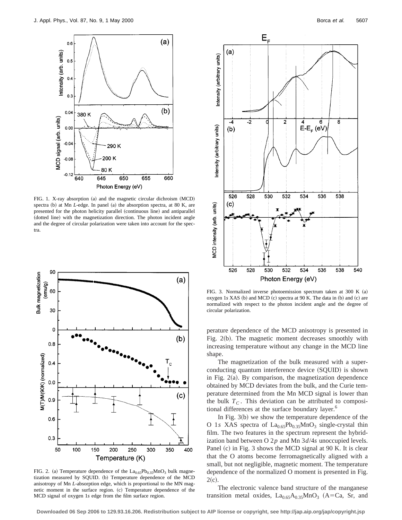

FIG. 1. X-ray absorption (a) and the magnetic circular dichroism (MCD) spectra (b) at Mn *L*-edge. In panel (a) the absorption spectra, at 80 K, are presented for the photon helicity parallel (continuous line) and antiparallel (dotted line) with the magnetization direction. The photon incident angle and the degree of circular polarization were taken into account for the spectra.



FIG. 2. (a) Temperature dependence of the  $La<sub>0.65</sub>Pb<sub>0.35</sub>MnO<sub>3</sub>$  bulk magnetization measured by SQUID. (b) Temperature dependence of the MCD anisotropy of Mn *L*-absorption edge, which is proportional to the MN magnetic moment in the surface region. (c) Temperature dependence of the MCD signal of oxygen 1*s* edge from the film surface region.



FIG. 3. Normalized inverse photoemission spectrum taken at 300 K  $(a)$ oxygen 1*s* XAS (b) and MCD (c) spectra at 90 K. The data in (b) and (c) are normalized with respect to the photon incident angle and the degree of circular polarization.

perature dependence of the MCD anisotropy is presented in Fig.  $2(b)$ . The magnetic moment decreases smoothly with increasing temperature without any change in the MCD line shape.

The magnetization of the bulk measured with a superconducting quantum interference device (SQUID) is shown in Fig.  $2(a)$ . By comparison, the magnetization dependence obtained by MCD deviates from the bulk, and the Curie temperature determined from the Mn MCD signal is lower than the bulk  $T_c$ . This deviation can be attributed to compositional differences at the surface boundary layer.<sup>6</sup>

In Fig.  $3(b)$  we show the temperature dependence of the O 1*s* XAS spectra of  $La<sub>0.65</sub>Pb<sub>0.35</sub>MnO<sub>3</sub>$  single-crystal thin film. The two features in the spectrum represent the hybridization band between O 2*p* and Mn 3*d*/4*s* unoccupied levels. Panel  $(c)$  in Fig. 3 shows the MCD signal at 90 K. It is clear that the O atoms become ferromagnetically aligned with a small, but not negligible, magnetic moment. The temperature dependence of the normalized O moment is presented in Fig.  $2(c).$ 

The electronic valence band structure of the manganese transition metal oxides,  $La<sub>0.65</sub>A<sub>0.35</sub>MnO<sub>3</sub>$  (A=Ca, Sr, and

**Downloaded 06 Sep 2006 to 129.93.16.206. Redistribution subject to AIP license or copyright, see http://jap.aip.org/jap/copyright.jsp**